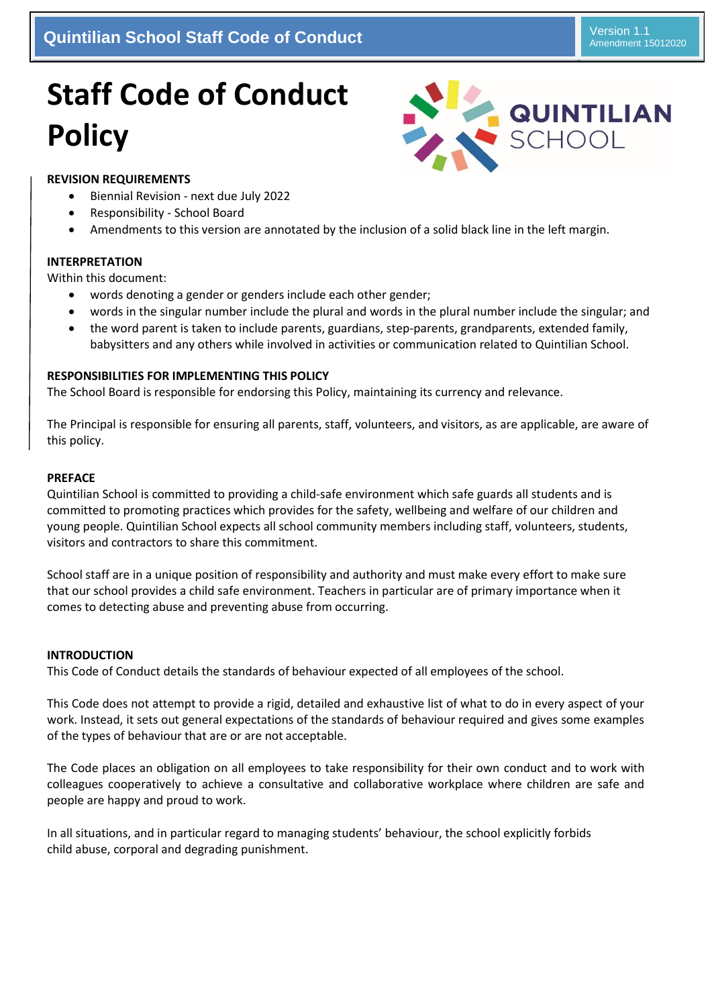## **Quintilian School Staff Code of Conduct Algebraries and Conduct Algebraries Conduct 2019 Version 1.1**

# **Staff Code of Conduct Policy**



#### **REVISION REQUIREMENTS**

- Biennial Revision next due July 2022
- Responsibility School Board
- Amendments to this version are annotated by the inclusion of a solid black line in the left margin.

#### **INTERPRETATION**

Within this document:

- words denoting a gender or genders include each other gender;
- words in the singular number include the plural and words in the plural number include the singular; and
- the word parent is taken to include parents, guardians, step-parents, grandparents, extended family, babysitters and any others while involved in activities or communication related to Quintilian School.

#### **RESPONSIBILITIES FOR IMPLEMENTING THIS POLICY**

The School Board is responsible for endorsing this Policy, maintaining its currency and relevance.

The Principal is responsible for ensuring all parents, staff, volunteers, and visitors, as are applicable, are aware of this policy.

#### **PREFACE**

Quintilian School is committed to providing a child-safe environment which safe guards all students and is committed to promoting practices which provides for the safety, wellbeing and welfare of our children and young people. Quintilian School expects all school community members including staff, volunteers, students, visitors and contractors to share this commitment.

School staff are in a unique position of responsibility and authority and must make every effort to make sure that our school provides a child safe environment. Teachers in particular are of primary importance when it comes to detecting abuse and preventing abuse from occurring.

#### **INTRODUCTION**

This Code of Conduct details the standards of behaviour expected of all employees of the school.

This Code does not attempt to provide a rigid, detailed and exhaustive list of what to do in every aspect of your work. Instead, it sets out general expectations of the standards of behaviour required and gives some examples of the types of behaviour that are or are not acceptable.

The Code places an obligation on all employees to take responsibility for their own conduct and to work with colleagues cooperatively to achieve a consultative and collaborative workplace where children are safe and people are happy and proud to work.

In all situations, and in particular regard to managing students' behaviour, the school explicitly forbids child abuse, corporal and degrading punishment.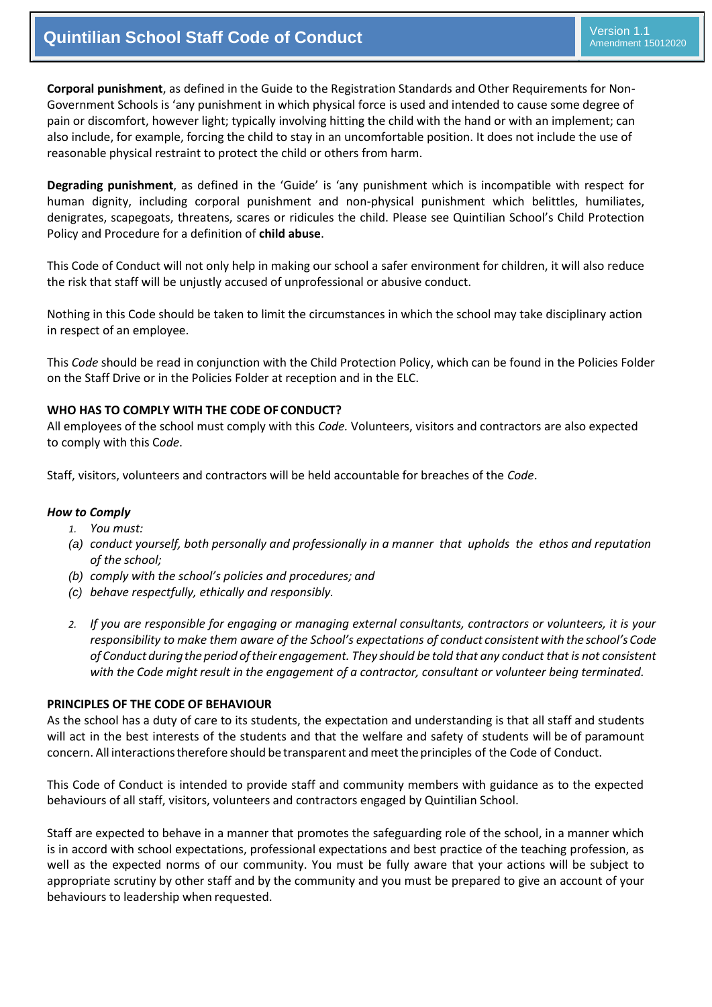**Corporal punishment**, as defined in the Guide to the Registration Standards and Other Requirements for Non-Government Schools is 'any punishment in which physical force is used and intended to cause some degree of pain or discomfort, however light; typically involving hitting the child with the hand or with an implement; can also include, for example, forcing the child to stay in an uncomfortable position. It does not include the use of reasonable physical restraint to protect the child or others from harm.

**Degrading punishment**, as defined in the 'Guide' is 'any punishment which is incompatible with respect for human dignity, including corporal punishment and non-physical punishment which belittles, humiliates, denigrates, scapegoats, threatens, scares or ridicules the child. Please see Quintilian School's Child Protection Policy and Procedure for a definition of **child abuse**.

This Code of Conduct will not only help in making our school a safer environment for children, it will also reduce the risk that staff will be unjustly accused of unprofessional or abusive conduct.

Nothing in this Code should be taken to limit the circumstances in which the school may take disciplinary action in respect of an employee.

This *Code* should be read in conjunction with the Child Protection Policy, which can be found in the Policies Folder on the Staff Drive or in the Policies Folder at reception and in the ELC.

#### **WHO HAS TO COMPLY WITH THE CODE OF CONDUCT?**

All employees of the school must comply with this *Code.* Volunteers, visitors and contractors are also expected to comply with this C*ode*.

Staff, visitors, volunteers and contractors will be held accountable for breaches of the *Code*.

#### *How to Comply*

- *1. You must:*
- *(a) conduct yourself, both personally and professionally in a manner that upholds the ethos and reputation of the school;*
- *(b) comply with the school's policies and procedures; and*
- *(c) behave respectfully, ethically and responsibly.*
- *2. If you are responsible for engaging or managing external consultants, contractors or volunteers, it is your responsibility to make them aware of the School's expectations of conduct consistent with the school's Code of Conduct duringthe period oftheir engagement. They should be told that any conduct that is not consistent with the Code might result in the engagement of a contractor, consultant or volunteer being terminated.*

#### **PRINCIPLES OF THE CODE OF BEHAVIOUR**

As the school has a duty of care to its students, the expectation and understanding is that all staff and students will act in the best interests of the students and that the welfare and safety of students will be of paramount concern. All interactionstherefore should be transparent and meettheprinciples of the Code of Conduct.

This Code of Conduct is intended to provide staff and community members with guidance as to the expected behaviours of all staff, visitors, volunteers and contractors engaged by Quintilian School.

Staff are expected to behave in a manner that promotes the safeguarding role of the school, in a manner which is in accord with school expectations, professional expectations and best practice of the teaching profession, as well as the expected norms of our community. You must be fully aware that your actions will be subject to appropriate scrutiny by other staff and by the community and you must be prepared to give an account of your behaviours to leadership when requested.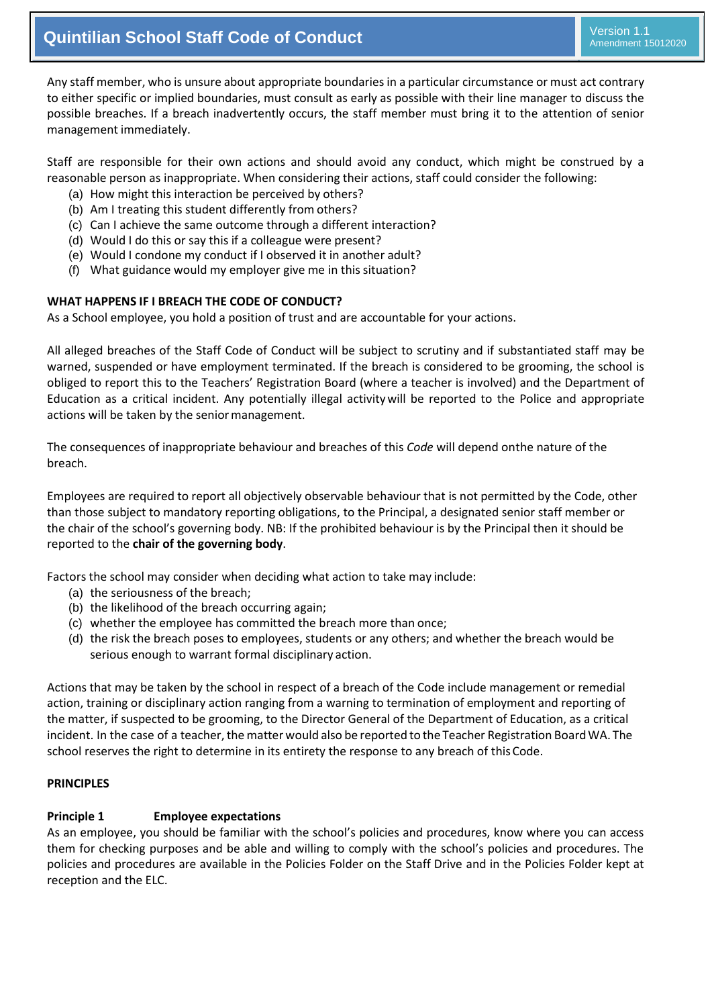Any staff member, who is unsure about appropriate boundaries in a particular circumstance or must act contrary to either specific or implied boundaries, must consult as early as possible with their line manager to discuss the possible breaches. If a breach inadvertently occurs, the staff member must bring it to the attention of senior management immediately.

Staff are responsible for their own actions and should avoid any conduct, which might be construed by a reasonable person as inappropriate. When considering their actions, staff could consider the following:

- (a) How might this interaction be perceived by others?
- (b) Am I treating this student differently from others?
- (c) Can I achieve the same outcome through a different interaction?
- (d) Would I do this or say this if a colleague were present?
- (e) Would I condone my conduct if I observed it in another adult?
- (f) What guidance would my employer give me in this situation?

#### **WHAT HAPPENS IF I BREACH THE CODE OF CONDUCT?**

As a School employee, you hold a position of trust and are accountable for your actions.

All alleged breaches of the Staff Code of Conduct will be subject to scrutiny and if substantiated staff may be warned, suspended or have employment terminated. If the breach is considered to be grooming, the school is obliged to report this to the Teachers' Registration Board (where a teacher is involved) and the Department of Education as a critical incident. Any potentially illegal activitywill be reported to the Police and appropriate actions will be taken by the senior management.

The consequences of inappropriate behaviour and breaches of this *Code* will depend onthe nature of the breach.

Employees are required to report all objectively observable behaviour that is not permitted by the Code, other than those subject to mandatory reporting obligations, to the Principal, a designated senior staff member or the chair of the school's governing body. NB: If the prohibited behaviour is by the Principal then it should be reported to the **chair of the governing body**.

Factors the school may consider when deciding what action to take may include:

- (a) the seriousness of the breach;
- (b) the likelihood of the breach occurring again;
- (c) whether the employee has committed the breach more than once;
- (d) the risk the breach poses to employees, students or any others; and whether the breach would be serious enough to warrant formal disciplinary action.

Actions that may be taken by the school in respect of a breach of the Code include management or remedial action, training or disciplinary action ranging from a warning to termination of employment and reporting of the matter, if suspected to be grooming, to the Director General of the Department of Education, as a critical incident. In the case of a teacher, the matter would also be reported to the Teacher Registration Board WA. The school reserves the right to determine in its entirety the response to any breach of this Code.

#### **PRINCIPLES**

#### **Principle 1 Employee expectations**

As an employee, you should be familiar with the school's policies and procedures, know where you can access them for checking purposes and be able and willing to comply with the school's policies and procedures. The policies and procedures are available in the Policies Folder on the Staff Drive and in the Policies Folder kept at reception and the ELC.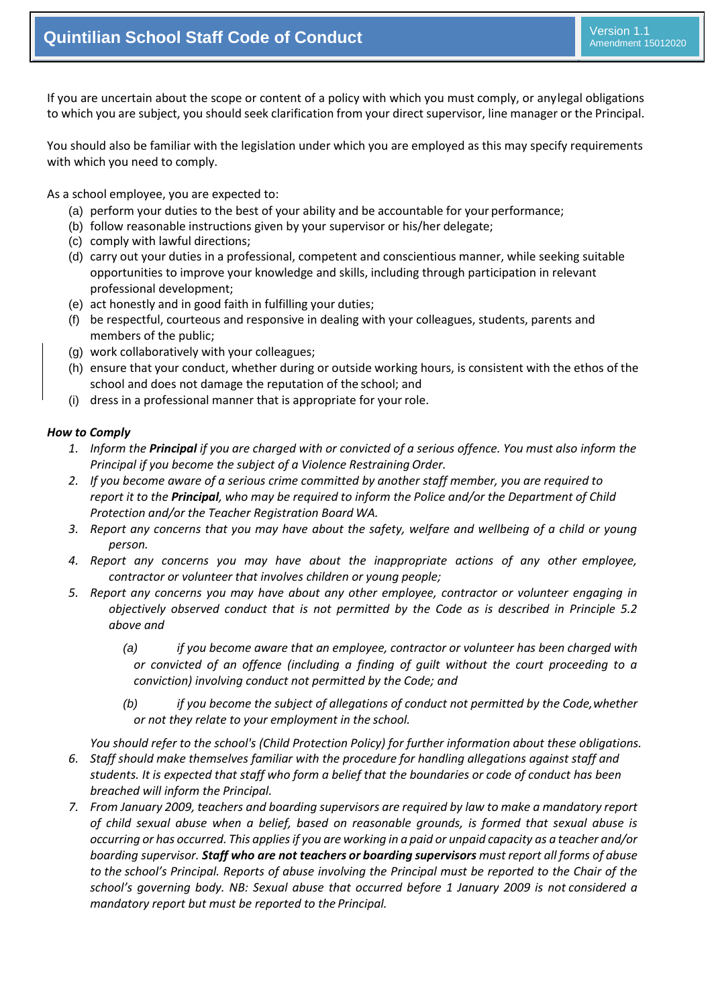If you are uncertain about the scope or content of a policy with which you must comply, or anylegal obligations to which you are subject, you should seek clarification from your direct supervisor, line manager or the Principal.

You should also be familiar with the legislation under which you are employed as this may specify requirements with which you need to comply.

As a school employee, you are expected to:

- (a) perform your duties to the best of your ability and be accountable for your performance;
- (b) follow reasonable instructions given by your supervisor or his/her delegate;
- (c) comply with lawful directions;
- (d) carry out your duties in a professional, competent and conscientious manner, while seeking suitable opportunities to improve your knowledge and skills, including through participation in relevant professional development;
- (e) act honestly and in good faith in fulfilling your duties;
- (f) be respectful, courteous and responsive in dealing with your colleagues, students, parents and members of the public;
- (g) work collaboratively with your colleagues;
- (h) ensure that your conduct, whether during or outside working hours, is consistent with the ethos of the school and does not damage the reputation of the school; and
- (i) dress in a professional manner that is appropriate for your role.

#### *How to Comply*

- *1. Inform the Principal if you are charged with or convicted of a serious offence. You must also inform the Principal if you become the subject of a Violence Restraining Order.*
- *2. If you become aware of a serious crime committed by another staff member, you are required to report it to the Principal, who may be required to inform the Police and/or the Department of Child Protection and/or the Teacher Registration Board WA.*
- *3. Report any concerns that you may have about the safety, welfare and wellbeing of a child or young person.*
- *4. Report any concerns you may have about the inappropriate actions of any other employee, contractor or volunteer that involves children or young people;*
- *5. Report any concerns you may have about any other employee, contractor or volunteer engaging in objectively observed conduct that is not permitted by the Code as is described in Principle 5.2 above and*
	- *(a) if you become aware that an employee, contractor or volunteer has been charged with or convicted of an offence (including a finding of guilt without the court proceeding to a conviction) involving conduct not permitted by the Code; and*
	- *(b) if you become the subject of allegations of conduct not permitted by the Code,whether or not they relate to your employment in the school.*

*You should refer to the school's (Child Protection Policy) for further information about these obligations. 6. Staff should make themselves familiar with the procedure for handling allegations against staff and students. It is expected that staff who form a belief that the boundaries or code of conduct has been breached will inform the Principal.*

*7. From January 2009, teachers and boarding supervisors are required by law to make a mandatory report of child sexual abuse when a belief, based on reasonable grounds, is formed that sexual abuse is occurring or has occurred. This applies if you are working in a paid or unpaid capacity as a teacher and/or boarding supervisor. Staff who are not teachers or boarding supervisors must report all forms of abuse to the school's Principal. Reports of abuse involving the Principal must be reported to the Chair of the school's governing body. NB: Sexual abuse that occurred before 1 January 2009 is not considered a mandatory report but must be reported to the Principal.*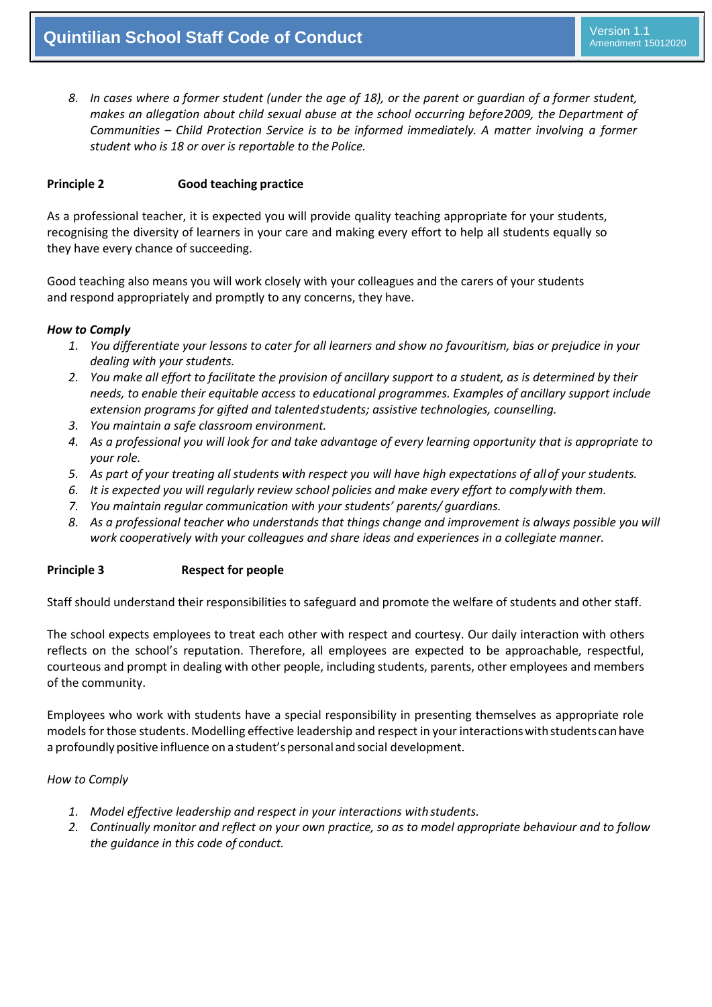8. In cases where a former student (under the age of 18), or the parent or guardian of a former student, *makes an allegation about child sexual abuse at the school occurring before2009, the Department of Communities – Child Protection Service is to be informed immediately. A matter involving a former student who is 18 or over is reportable to the Police.*

#### **Principle 2 Good teaching practice**

As a professional teacher, it is expected you will provide quality teaching appropriate for your students, recognising the diversity of learners in your care and making every effort to help all students equally so they have every chance of succeeding.

Good teaching also means you will work closely with your colleagues and the carers of your students and respond appropriately and promptly to any concerns, they have.

#### *How to Comply*

- *1. You differentiate your lessons to cater for all learners and show no favouritism, bias or prejudice in your dealing with your students.*
- *2. You make all effort to facilitate the provision of ancillary support to a student, as is determined by their needs, to enable their equitable access to educational programmes. Examples of ancillary support include extension programs for gifted and talentedstudents; assistive technologies, counselling.*
- *3. You maintain a safe classroom environment.*
- *4. As a professional you will look for and take advantage of every learning opportunity that is appropriate to your role.*
- *5. As part of your treating all students with respect you will have high expectations of allof your students.*
- *6. It is expected you will regularly review school policies and make every effort to complywith them.*
- *7. You maintain regular communication with your students' parents/ guardians.*
- *8. As a professional teacher who understands that things change and improvement is always possible you will work cooperatively with your colleagues and share ideas and experiences in a collegiate manner.*

#### **Principle 3 Respect for people**

Staff should understand their responsibilities to safeguard and promote the welfare of students and other staff.

The school expects employees to treat each other with respect and courtesy. Our daily interaction with others reflects on the school's reputation. Therefore, all employees are expected to be approachable, respectful, courteous and prompt in dealing with other people, including students, parents, other employees and members of the community.

Employees who work with students have a special responsibility in presenting themselves as appropriate role models for those students. Modelling effective leadership and respect in your interactions with students can have a profoundly positive influence on a student's personal and social development.

#### *How to Comply*

- *1. Model effective leadership and respect in your interactions with students.*
- *2. Continually monitor and reflect on your own practice, so as to model appropriate behaviour and to follow the guidance in this code of conduct.*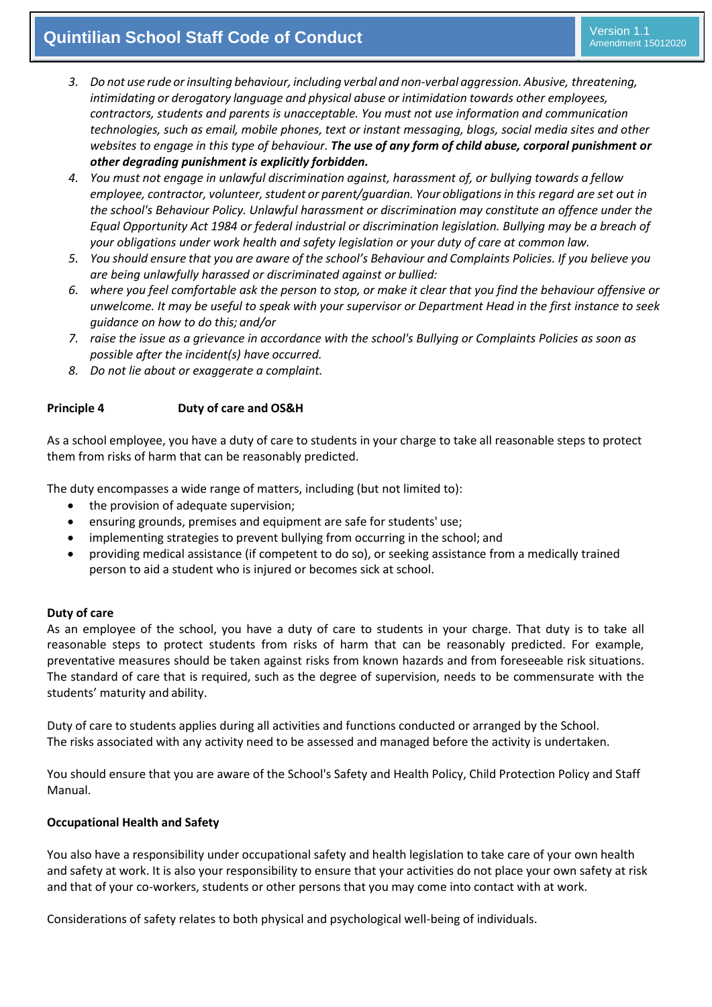### **Quintilian School Staff Code of Conduct Algebraries and Conduct Algebraries Conduct 2019 Version 1.1**

- *3. Do not use rude orinsulting behaviour, including verbal and non-verbal aggression. Abusive, threatening, intimidating or derogatory language and physical abuse or intimidation towards other employees, contractors, students and parents is unacceptable. You must not use information and communication technologies, such as email, mobile phones, text or instant messaging, blogs, social media sites and other websites to engage in this type of behaviour. The use of any form of child abuse, corporal punishment or other degrading punishment is explicitly forbidden.*
- *4. You must not engage in unlawful discrimination against, harassment of, or bullying towards a fellow employee, contractor, volunteer,student or parent/guardian. Your obligationsin this regard are set out in the school's Behaviour Policy. Unlawful harassment or discrimination may constitute an offence under the Equal Opportunity Act 1984 or federal industrial or discrimination legislation. Bullying may be a breach of your obligations under work health and safety legislation or your duty of care at common law.*
- *5. You should ensure that you are aware of the school's Behaviour and Complaints Policies. If you believe you are being unlawfully harassed or discriminated against or bullied:*
- *6. where you feel comfortable ask the person to stop, or make it clear that you find the behaviour offensive or unwelcome. It may be useful to speak with your supervisor or Department Head in the first instance to seek guidance on how to do this; and/or*
- *7. raise the issue as a grievance in accordance with the school's Bullying or Complaints Policies as soon as possible after the incident(s) have occurred.*
- *8. Do not lie about or exaggerate a complaint.*

#### **Principle 4 Duty of care and OS&H**

As a school employee, you have a duty of care to students in your charge to take all reasonable steps to protect them from risks of harm that can be reasonably predicted.

The duty encompasses a wide range of matters, including (but not limited to):

- the provision of adequate supervision;
- ensuring grounds, premises and equipment are safe for students' use;
- implementing strategies to prevent bullying from occurring in the school; and
- providing medical assistance (if competent to do so), or seeking assistance from a medically trained person to aid a student who is injured or becomes sick at school.

#### **Duty of care**

As an employee of the school, you have a duty of care to students in your charge. That duty is to take all reasonable steps to protect students from risks of harm that can be reasonably predicted. For example, preventative measures should be taken against risks from known hazards and from foreseeable risk situations. The standard of care that is required, such as the degree of supervision, needs to be commensurate with the students' maturity and ability.

Duty of care to students applies during all activities and functions conducted or arranged by the School. The risks associated with any activity need to be assessed and managed before the activity is undertaken.

You should ensure that you are aware of the School's Safety and Health Policy, Child Protection Policy and Staff Manual.

#### **Occupational Health and Safety**

You also have a responsibility under occupational safety and health legislation to take care of your own health and safety at work. It is also your responsibility to ensure that your activities do not place your own safety at risk and that of your co-workers, students or other persons that you may come into contact with at work.

Considerations of safety relates to both physical and psychological well-being of individuals.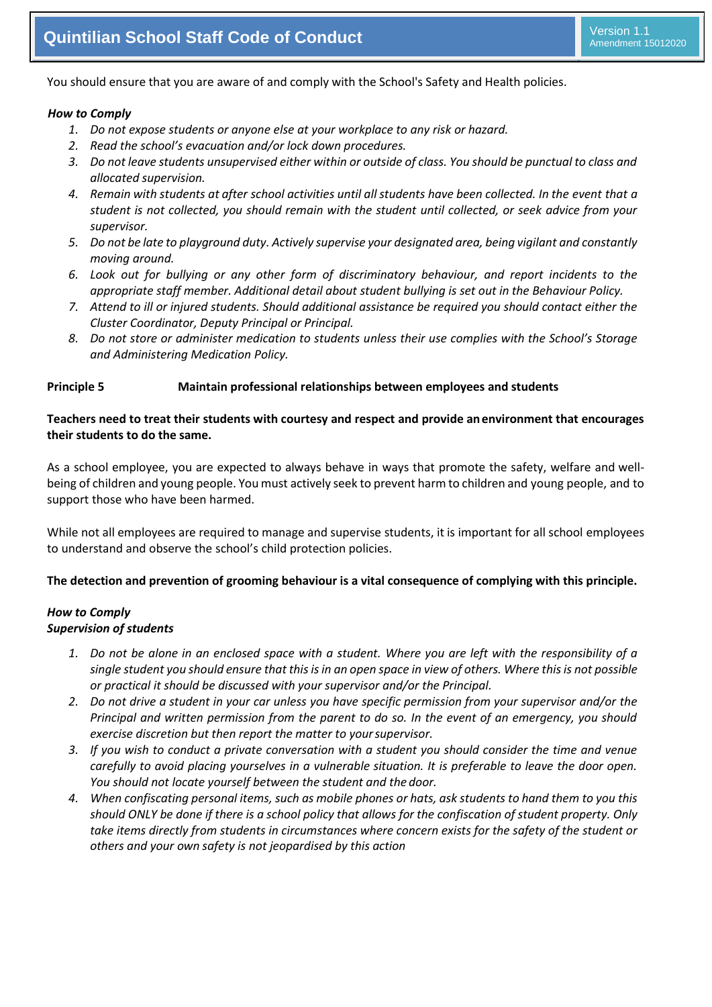You should ensure that you are aware of and comply with the School's Safety and Health policies.

#### *How to Comply*

- *1. Do not expose students or anyone else at your workplace to any risk or hazard.*
- *2. Read the school's evacuation and/or lock down procedures.*
- *3. Do not leave students unsupervised either within or outside of class. You should be punctual to class and allocated supervision.*
- *4. Remain with students at after school activities until allstudents have been collected. In the event that a student is not collected, you should remain with the student until collected, or seek advice from your supervisor.*
- *5. Do not be late to playground duty. Actively supervise your designated area, being vigilant and constantly moving around.*
- *6. Look out for bullying or any other form of discriminatory behaviour, and report incidents to the appropriate staff member. Additional detail about student bullying is set out in the Behaviour Policy.*
- *7. Attend to ill or injured students. Should additional assistance be required you should contact either the Cluster Coordinator, Deputy Principal or Principal.*
- *8. Do not store or administer medication to students unless their use complies with the School's Storage and Administering Medication Policy.*

#### **Principle 5 Maintain professional relationships between employees and students**

#### **Teachers need to treat their students with courtesy and respect and provide anenvironment that encourages their students to do the same.**

As a school employee, you are expected to always behave in ways that promote the safety, welfare and wellbeing of children and young people. You must actively seek to prevent harm to children and young people, and to support those who have been harmed.

While not all employees are required to manage and supervise students, it is important for all school employees to understand and observe the [school's child protection](https://www.det.nsw.edu.au/policiesinter/category/search.do%3Bjsessionid%3D996b1e21bc27d844859b076404e91c6a52b3e8a22d7.e34Sa3ePc30Sbi0LbxuPax0KbxuSe0%3Bjsessionid%3D996b1e21bc27d844859b076404e91c6a52b3e8a22d7.e34Sa3ePc30Sbi0LbxuPax0KbxuSe0?level=Schools&categories=Schools%7CWellbeing%7CChild%2Bprotection) policies.

#### **The detection and prevention of grooming behaviour is a vital consequence of complying with this principle.**

#### *How to Comply Supervision of students*

- *1. Do not be alone in an enclosed space with a student. Where you are left with the responsibility of a single student you should ensure that this is in an open space in view of others. Where this is not possible or practical it should be discussed with your supervisor and/or the Principal.*
- 2. Do not drive a student in your car unless you have specific permission from your supervisor and/or the *Principal and written permission from the parent to do so. In the event of an emergency, you should exercise discretion but then report the matter to yoursupervisor.*
- *3. If you wish to conduct a private conversation with a student you should consider the time and venue carefully to avoid placing yourselves in a vulnerable situation. It is preferable to leave the door open. You should not locate yourself between the student and the door.*
- *4. When confiscating personal items, such as mobile phones or hats, ask students to hand them to you this should ONLY be done if there is a school policy that allows for the confiscation of student property. Only take items directly from students in circumstances where concern exists for the safety of the student or others and your own safety is not jeopardised by this action*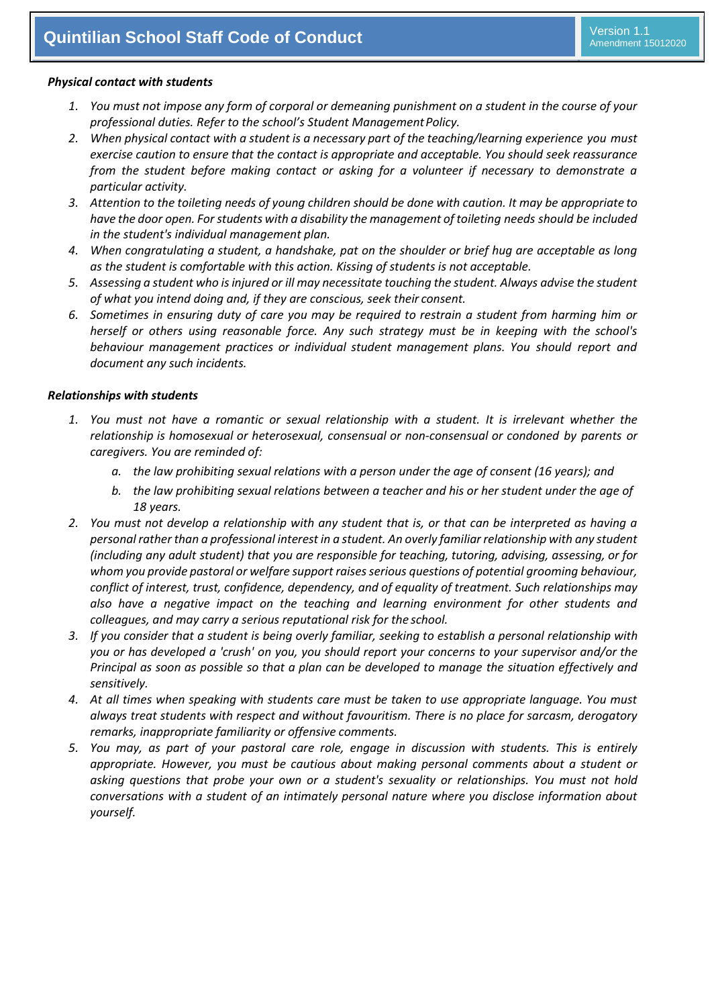#### *Physical contact with students*

- *1. You must not impose any form of corporal or demeaning punishment on a student in the course of your professional duties. Refer to the school's Student ManagementPolicy.*
- *2. When physical contact with a student is a necessary part of the teaching/learning experience you must exercise caution to ensure that the contact is appropriate and acceptable. You should seek reassurance from the student before making contact or asking for a volunteer if necessary to demonstrate a particular activity.*
- *3. Attention to the toileting needs of young children should be done with caution. It may be appropriate to have the door open. Forstudents with a disability the management of toileting needs should be included in the student's individual management plan.*
- *4. When congratulating a student, a handshake, pat on the shoulder or brief hug are acceptable as long as the student is comfortable with this action. Kissing of students is not acceptable.*
- *5. Assessing a student who is injured or ill may necessitate touching the student. Always advise the student of what you intend doing and, if they are conscious, seek their consent.*
- *6. Sometimes in ensuring duty of care you may be required to restrain a student from harming him or herself or others using reasonable force. Any such strategy must be in keeping with the school's behaviour management practices or individual student management plans. You should report and document any such incidents.*

#### *Relationships with students*

- *1. You must not have a romantic or sexual relationship with a student. It is irrelevant whether the relationship is homosexual or heterosexual, consensual or non-consensual or condoned by parents or caregivers. You are reminded of:*
	- *a. the law prohibiting sexual relations with a person under the age of consent (16 years); and*
	- *b. the law prohibiting sexual relations between a teacher and his or her student under the age of 18 years.*
- *2. You must not develop a relationship with any student that is, or that can be interpreted as having a personal rather than a professional interest in a student. An overly familiar relationship with any student (including any adult student) that you are responsible for teaching, tutoring, advising, assessing, or for whom you provide pastoral or welfare support raises serious questions of potential grooming behaviour, conflict of interest, trust, confidence, dependency, and of equality of treatment. Such relationships may also have a negative impact on the teaching and learning environment for other students and colleagues, and may carry a serious reputational risk for the school.*
- *3. If you consider that a student is being overly familiar, seeking to establish a personal relationship with you or has developed a 'crush' on you, you should report your concerns to your supervisor and/or the Principal as soon as possible so that a plan can be developed to manage the situation effectively and sensitively.*
- *4. At all times when speaking with students care must be taken to use appropriate language. You must always treat students with respect and without favouritism. There is no place for sarcasm, derogatory remarks, inappropriate familiarity or offensive comments.*
- *5. You may, as part of your pastoral care role, engage in discussion with students. This is entirely appropriate. However, you must be cautious about making personal comments about a student or asking questions that probe your own or a student's sexuality or relationships. You must not hold conversations with a student of an intimately personal nature where you disclose information about yourself.*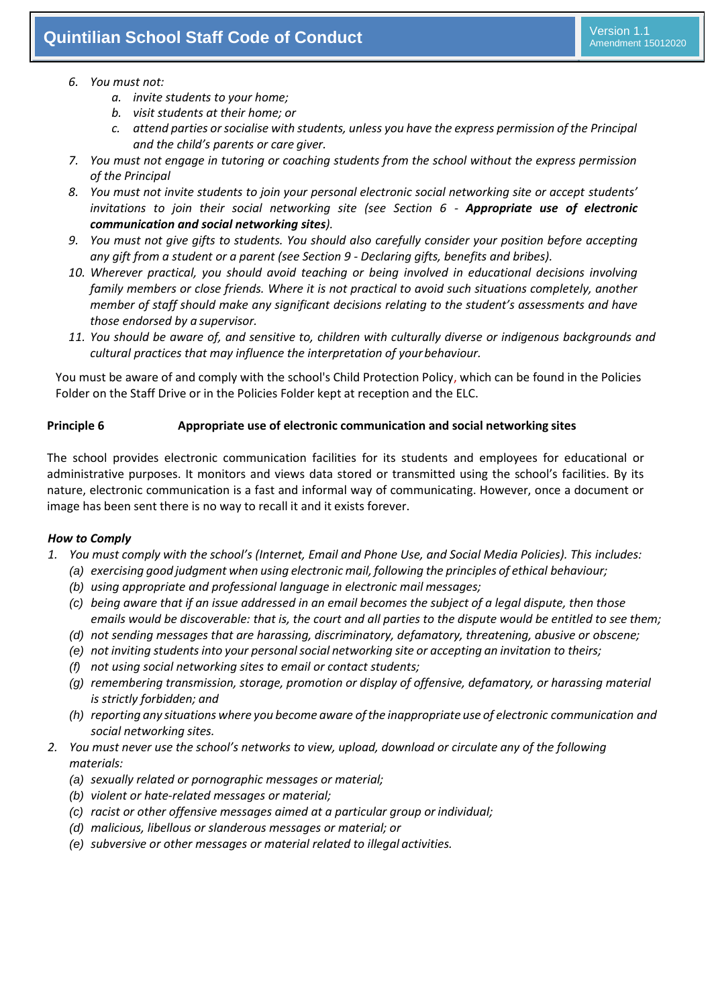#### *6. You must not:*

- *a. invite students to your home;*
- *b. visit students at their home; or*
- *c. attend parties orsocialise with students, unless you have the express permission of the Principal and the child's parents or care giver.*
- *7. You must not engage in tutoring or coaching students from the school without the express permission of the Principal*
- *8. You must not invite students to join your personal electronic social networking site or accept students' invitations to join their social networking site (see Section 6 - Appropriate use of electronic communication and social networking sites).*
- *9. You must not give gifts to students. You should also carefully consider your position before accepting any gift from a student or a parent (see Section 9 - Declaring gifts, benefits and bribes).*
- *10. Wherever practical, you should avoid teaching or being involved in educational decisions involving family members or close friends. Where it is not practical to avoid such situations completely, another member of staff should make any significant decisions relating to the student's assessments and have those endorsed by a supervisor.*
- 11. You should be aware of, and sensitive to, children with culturally diverse or indigenous backgrounds and *cultural practices that may influence the interpretation of yourbehaviour.*

You must be aware of and comply with the school's Child Protection Policy, which can be found in the Policies Folder on the Staff Drive or in the Policies Folder kept at reception and the ELC.

#### **Principle 6 Appropriate use of electronic communication and social networking sites**

The school provides electronic communication facilities for its students and employees for educational or administrative purposes. It monitors and views data stored or transmitted using the school's facilities. By its nature, electronic communication is a fast and informal way of communicating. However, once a document or image has been sent there is no way to recall it and it exists forever.

#### *How to Comply*

- *1. You must comply with the school's (Internet, Email and Phone Use, and Social Media Policies). This includes:*
	- *(a) exercising good judgment when using electronic mail, following the principles of ethical behaviour;*
	- *(b) using appropriate and professional language in electronic mail messages;*
	- *(c) being aware that if an issue addressed in an email becomes the subject of a legal dispute, then those emails would be discoverable: that is, the court and all parties to the dispute would be entitled to see them;*
	- *(d) not sending messages that are harassing, discriminatory, defamatory, threatening, abusive or obscene;*
	- *(e) not inviting studentsinto your personalsocial networking site or accepting an invitation to theirs;*
	- *(f) not using social networking sites to email or contact students;*
	- *(g) remembering transmission, storage, promotion or display of offensive, defamatory, or harassing material is strictly forbidden; and*
	- *(h) reporting any situations where you become aware ofthe inappropriate use of electronic communication and social networking sites.*
- *2. You must never use the school's networks to view, upload, download or circulate any of the following materials:*
	- *(a) sexually related or pornographic messages or material;*
	- *(b) violent or hate-related messages or material;*
	- *(c) racist or other offensive messages aimed at a particular group orindividual;*
	- *(d) malicious, libellous or slanderous messages or material; or*
	- *(e) subversive or other messages or material related to illegal activities.*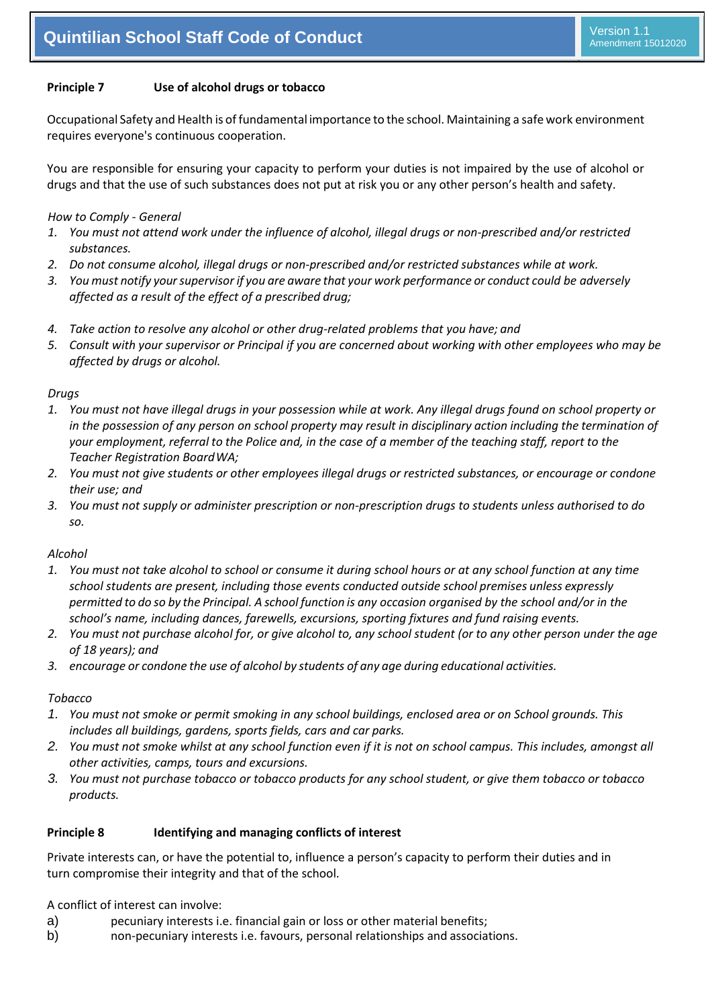#### **Principle 7 Use of alcohol drugs or tobacco**

Occupational Safety and Health is of fundamental importance to the school. Maintaining a safe work environment requires everyone's continuous cooperation.

You are responsible for ensuring your capacity to perform your duties is not impaired by the use of alcohol or drugs and that the use of such substances does not put at risk you or any other person's health and safety.

#### *How to Comply - General*

- *1. You must not attend work under the influence of alcohol, illegal drugs or non-prescribed and/or restricted substances.*
- *2. Do not consume alcohol, illegal drugs or non-prescribed and/or restricted substances while at work.*
- *3. You must notify yoursupervisor if you are aware that your work performance or conduct could be adversely affected as a result of the effect of a prescribed drug;*
- *4. Take action to resolve any alcohol or other drug-related problems that you have; and*
- *5. Consult with your supervisor or Principal if you are concerned about working with other employees who may be affected by drugs or alcohol.*

#### *Drugs*

- *1. You must not have illegal drugs in your possession while at work. Any illegal drugs found on school property or in the possession of any person on school property may result in disciplinary action including the termination of your employment, referral to the Police and, in the case of a member of the teaching staff, report to the Teacher Registration BoardWA;*
- *2. You must not give students or other employees illegal drugs or restricted substances, or encourage or condone their use; and*
- *3. You must not supply or administer prescription or non-prescription drugs to students unless authorised to do so.*

#### *Alcohol*

- *1. You must not take alcohol to school or consume it during school hours or at any school function at any time school students are present, including those events conducted outside school premises unless expressly permitted to do so by the Principal. A school function is any occasion organised by the school and/or in the school's name, including dances, farewells, excursions, sporting fixtures and fund raising events.*
- *2. You must not purchase alcohol for, or give alcohol to, any school student (or to any other person under the age of 18 years); and*
- *3. encourage or condone the use of alcohol by students of any age during educational activities.*

#### *Tobacco*

- *1. You must not smoke or permit smoking in any school buildings, enclosed area or on School grounds. This includes all buildings, gardens, sports fields, cars and car parks.*
- *2. You must not smoke whilst at any school function even if it is not on school campus. This includes, amongst all other activities, camps, tours and excursions.*
- *3. You must not purchase tobacco or tobacco products for any school student, or give them tobacco or tobacco products.*

#### **Principle 8 Identifying and managing conflicts of interest**

Private interests can, or have the potential to, influence a person's capacity to perform their duties and in turn compromise their integrity and that of the school.

A conflict of interest can involve:

- a) pecuniary interests i.e. financial gain or loss or other material benefits;
- b) non-pecuniary interests i.e. favours, personal relationships and associations.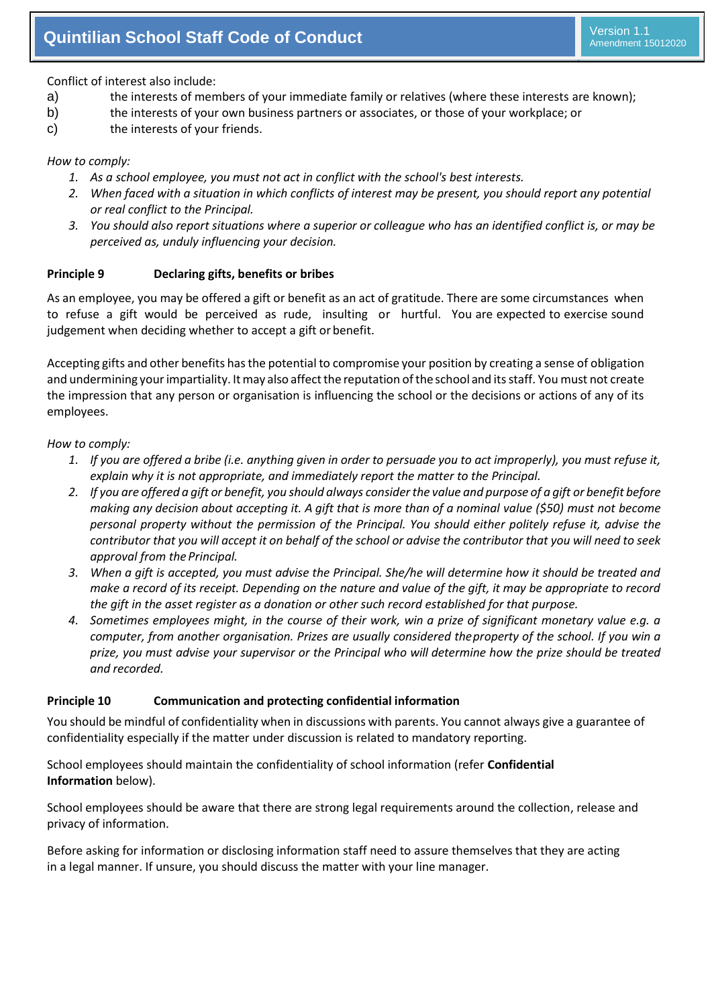Conflict of interest also include:

- a) the interests of members of your immediate family or relatives (where these interests are known);
- b) the interests of your own business partners or associates, or those of your workplace; or
- c) the interests of your friends.

#### *How to comply:*

- *1. As a school employee, you must not act in conflict with the school's best interests.*
- *2. When faced with a situation in which conflicts of interest may be present, you should report any potential or real conflict to the Principal.*
- *3. You should also report situations where a superior or colleague who has an identified conflict is, or may be perceived as, unduly influencing your decision.*

#### **Principle 9 Declaring gifts, benefits or bribes**

As an employee, you may be offered a gift or benefit as an act of gratitude. There are some circumstances when to refuse a gift would be perceived as rude, insulting or hurtful. You are expected to exercise sound judgement when deciding whether to accept a gift or benefit.

Accepting gifts and other benefits hasthe potential to compromise your position by creating a sense of obligation and undermining yourimpartiality. Itmay also affectthe reputation ofthe school and its staff. You must not create the impression that any person or organisation is influencing the school or the decisions or actions of any of its employees.

#### *How to comply:*

- 1. If you are offered a bribe (i.e. anything given in order to persuade you to act improperly), you must refuse it, *explain why it is not appropriate, and immediately report the matter to the Principal.*
- 2. If you are offered a gift or benefit, you should always consider the value and purpose of a gift or benefit before *making any decision about accepting it. A gift that is more than of a nominal value (\$50) must not become personal property without the permission of the Principal. You should either politely refuse it, advise the contributor that you will accept it on behalf of the school or advise the contributor that you will need to seek approval from the Principal.*
- *3. When a gift is accepted, you must advise the Principal. She/he will determine how it should be treated and make a record of its receipt. Depending on the nature and value of the gift, it may be appropriate to record the gift in the asset register as a donation or other such record established for that purpose.*
- *4. Sometimes employees might, in the course of their work, win a prize of significant monetary value e.g. a computer, from another organisation. Prizes are usually considered theproperty of the school. If you win a prize, you must advise your supervisor or the Principal who will determine how the prize should be treated and recorded.*

#### **Principle 10 Communication and protecting confidential information**

You should be mindful of confidentiality when in discussions with parents. You cannot always give a guarantee of confidentiality especially if the matter under discussion is related to mandatory reporting.

School employees should maintain the confidentiality of school information (refer **Confidential Information** below).

School employees should be aware that there are strong legal requirements around the collection, release and privacy of information.

Before asking for information or disclosing information staff need to assure themselves that they are acting in a legal manner. If unsure, you should discuss the matter with your line manager.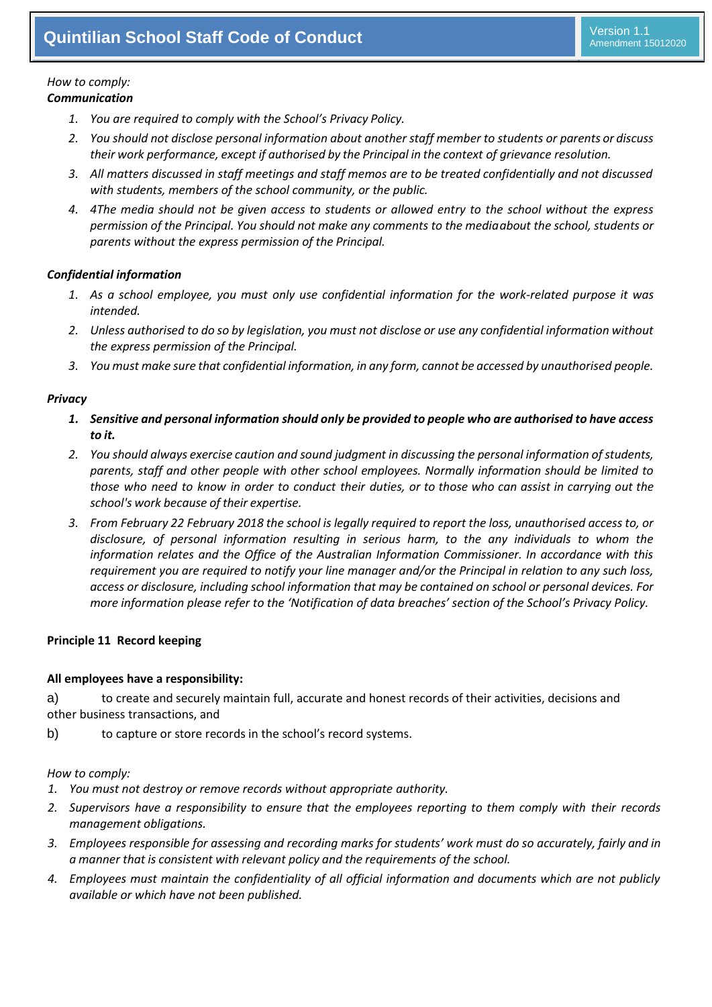#### *How to comply: Communication*

- *1. You are required to comply with the School's Privacy Policy.*
- *2. You should not disclose personal information about another staff member to students or parents or discuss their work performance, except if authorised by the Principal in the context of grievance resolution.*
- *3. All matters discussed in staff meetings and staff memos are to be treated confidentially and not discussed with students, members of the school community, or the public.*
- *4. 4The media should not be given access to students or allowed entry to the school without the express permission of the Principal. You should not make any comments to the mediaabout the school, students or parents without the express permission of the Principal.*

#### *Confidential information*

- *1. As a school employee, you must only use confidential information for the work-related purpose it was intended.*
- *2. Unless authorised to do so by legislation, you must not disclose or use any confidential information without the express permission of the Principal.*
- *3. You must make sure that confidential information, in any form, cannot be accessed by unauthorised people.*

#### *Privacy*

- *1. Sensitive and personal information should only be provided to people who are authorised to have access to it.*
- *2. You should always exercise caution and sound judgment in discussing the personal information of students, parents, staff and other people with other school employees. Normally information should be limited to those who need to know in order to conduct their duties, or to those who can assist in carrying out the school's work because of their expertise.*
- *3. From February 22 February 2018 the school is legally required to report the loss, unauthorised access to, or disclosure, of personal information resulting in serious harm, to the any individuals to whom the information relates and the Office of the Australian Information Commissioner. In accordance with this requirement you are required to notify your line manager and/or the Principal in relation to any such loss, access or disclosure, including school information that may be contained on school or personal devices. For more information please refer to the 'Notification of data breaches' section of the School's Privacy Policy.*

#### **Principle 11 Record keeping**

#### **All employees have a responsibility:**

a) to create and securely maintain full, accurate and honest records of their activities, decisions and other business transactions, and

b) to capture or store records in the school's record systems.

#### *How to comply:*

- *1. You must not destroy or remove records without appropriate authority.*
- *2. Supervisors have a responsibility to ensure that the employees reporting to them comply with their records management obligations.*
- *3. Employees responsible for assessing and recording marks for students' work must do so accurately, fairly and in a manner that is consistent with relevant policy and the requirements of the school.*
- *4. Employees must maintain the confidentiality of all official information and documents which are not publicly available or which have not been published.*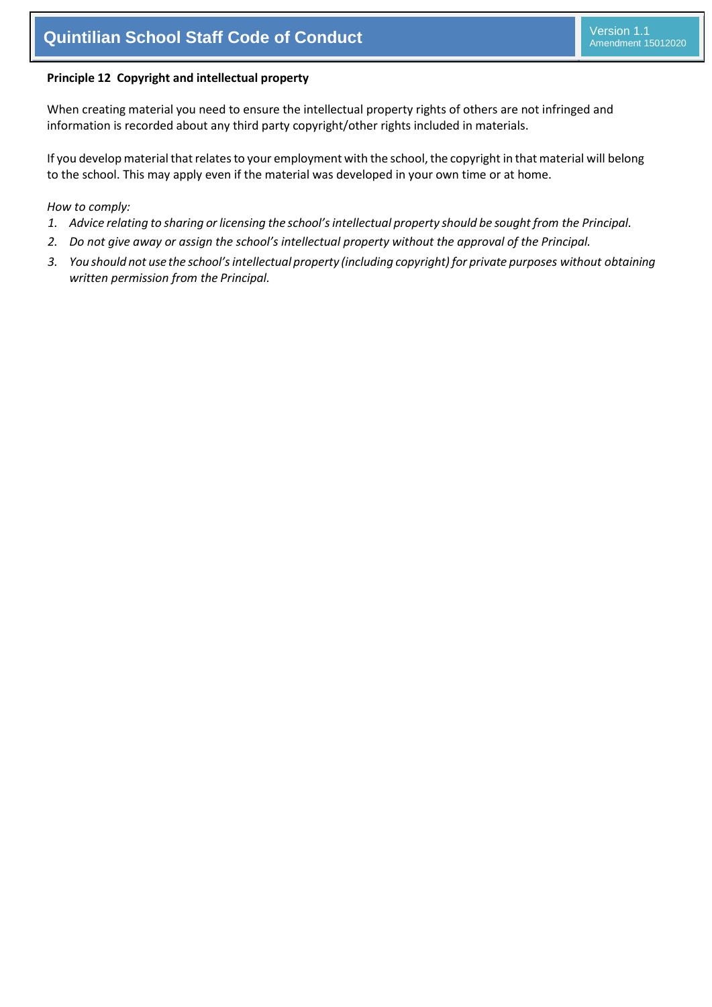#### **Principle 12 Copyright and intellectual property**

When creating material you need to ensure the intellectual property rights of others are not infringed and information is recorded about any third party copyright/other rights included in materials.

If you develop material that relates to your employment with the school, the copyright in that material will belong to the school. This may apply even if the material was developed in your own time or at home.

#### *How to comply:*

- 1. Advice relating to sharing or licensing the school's intellectual property should be sought from the Principal.
- *2. Do not give away or assign the school's intellectual property without the approval of the Principal.*
- *3. You should not use the school'sintellectual property (including copyright) for private purposes without obtaining written permission from the Principal.*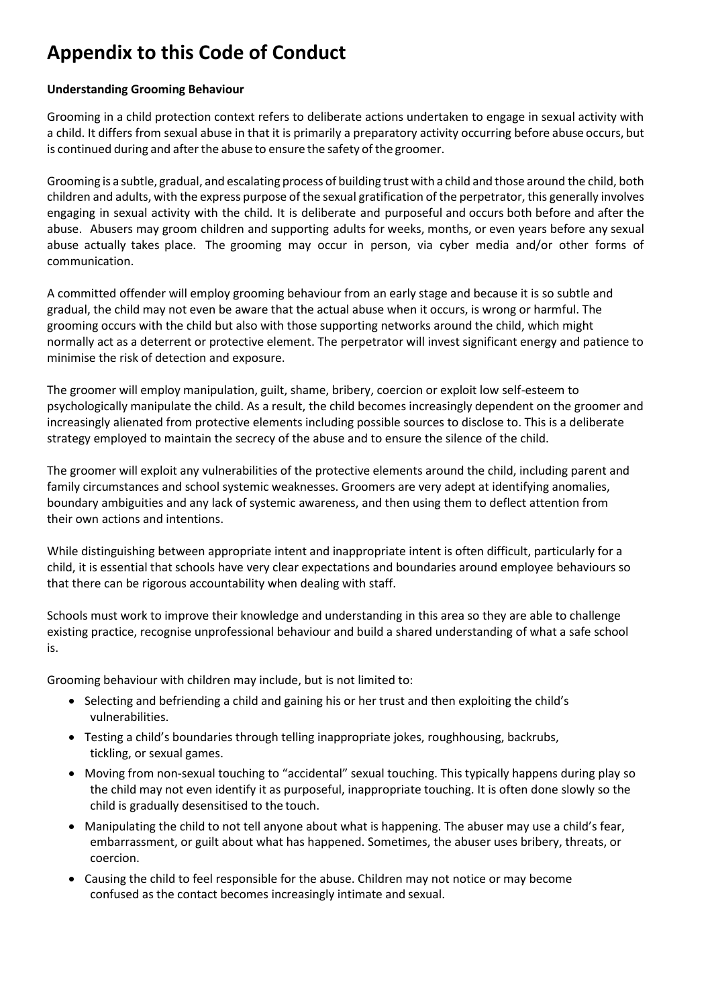## **Appendix to this Code of Conduct**

#### **Understanding Grooming Behaviour**

Grooming in a child protection context refers to deliberate actions undertaken to engage in sexual activity with a child. It differs from sexual abuse in that it is primarily a preparatory activity occurring before abuse occurs, but is continued during and after the abuse to ensure the safety of the groomer.

Grooming is a subtle, gradual, and escalating process of building trust with a child and those around the child, both children and adults, with the express purpose of the sexual gratification of the perpetrator, this generally involves engaging in sexual activity with the child. It is deliberate and purposeful and occurs both before and after the abuse. Abusers may groom children and supporting adults for weeks, months, or even years before any sexual abuse actually takes place. The grooming may occur in person, via cyber media and/or other forms of communication.

A committed offender will employ grooming behaviour from an early stage and because it is so subtle and gradual, the child may not even be aware that the actual abuse when it occurs, is wrong or harmful. The grooming occurs with the child but also with those supporting networks around the child, which might normally act as a deterrent or protective element. The perpetrator will invest significant energy and patience to minimise the risk of detection and exposure.

The groomer will employ manipulation, guilt, shame, bribery, coercion or exploit low self-esteem to psychologically manipulate the child. As a result, the child becomes increasingly dependent on the groomer and increasingly alienated from protective elements including possible sources to disclose to. This is a deliberate strategy employed to maintain the secrecy of the abuse and to ensure the silence of the child.

The groomer will exploit any vulnerabilities of the protective elements around the child, including parent and family circumstances and school systemic weaknesses. Groomers are very adept at identifying anomalies, boundary ambiguities and any lack of systemic awareness, and then using them to deflect attention from their own actions and intentions.

While distinguishing between appropriate intent and inappropriate intent is often difficult, particularly for a child, it is essential that schools have very clear expectations and boundaries around employee behaviours so that there can be rigorous accountability when dealing with staff.

Schools must work to improve their knowledge and understanding in this area so they are able to challenge existing practice, recognise unprofessional behaviour and build a shared understanding of what a safe school is.

Grooming behaviour with children may include, but is not limited to:

- Selecting and befriending a child and gaining his or her trust and then exploiting the child's vulnerabilities.
- Testing a child's boundaries through telling inappropriate jokes, roughhousing, backrubs, tickling, or sexual games.
- Moving from non-sexual touching to "accidental" sexual touching. This typically happens during play so the child may not even identify it as purposeful, inappropriate touching. It is often done slowly so the child is gradually desensitised to the touch.
- Manipulating the child to not tell anyone about what is happening. The abuser may use a child's fear, embarrassment, or guilt about what has happened. Sometimes, the abuser uses bribery, threats, or coercion.
- Causing the child to feel responsible for the abuse. Children may not notice or may become confused as the contact becomes increasingly intimate and sexual.